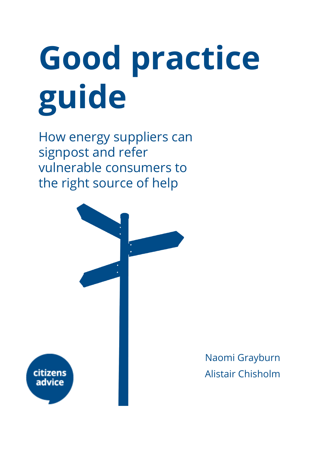# Good practice guide

How energy suppliers can signpost and refer vulnerable consumers to the right source of help



Naomi Grayburn Alistair Chisholm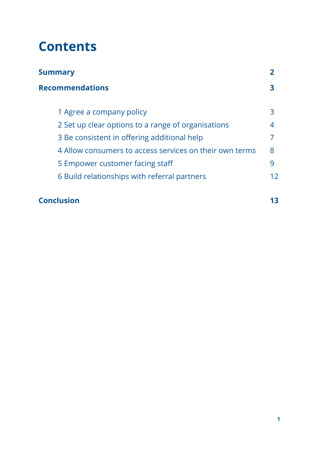## **Contents**

| Summary                                                 |     |
|---------------------------------------------------------|-----|
| <b>Recommendations</b>                                  | З   |
| 1 Agree a company policy                                | 3   |
| 2 Set up clear options to a range of organisations      | 4   |
| 3 Be consistent in offering additional help             |     |
| 4 Allow consumers to access services on their own terms | 8   |
| 5 Empower customer facing staff                         | 9   |
| 6 Build relationships with referral partners            | 12. |

#### **[Conclusion](#page-13-0) 13**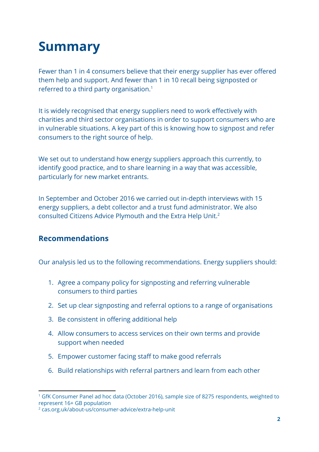## <span id="page-2-0"></span>Summary

Fewer than 1 in 4 consumers believe that their energy supplier has ever offered them help and support. And fewer than 1 in 10 recall being signposted or referred to a third party organisation. 1

It is widely recognised that energy suppliers need to work effectively with charities and third sector organisations in order to support consumers who are in vulnerable situations. A key part of this is knowing how to signpost and refer consumers to the right source of help.

We set out to understand how energy suppliers approach this currently, to identify good practice, and to share learning in a way that was accessible, particularly for new market entrants.

In September and October 2016 we carried out in-depth interviews with 15 energy suppliers, a debt collector and a trust fund administrator. We also consulted Citizens Advice Plymouth and the Extra Help Unit. 2

#### Recommendations

Our analysis led us to the following recommendations. Energy suppliers should:

- 1. Agree a company policy for signposting and referring vulnerable consumers to third parties
- 2. Set up clear signposting and referral options to a range of organisations
- 3. Be consistent in offering additional help
- 4. Allow consumers to access services on their own terms and provide support when needed
- 5. Empower customer facing staff to make good referrals
- 6. Build relationships with referral partners and learn from each other

<sup>&</sup>lt;sup>1</sup> GfK Consumer Panel ad hoc data (October 2016), sample size of 8275 respondents, weighted to represent 16+ GB population

<sup>2</sup> cas.org.uk/about-us/consumer-advice/extra-help-unit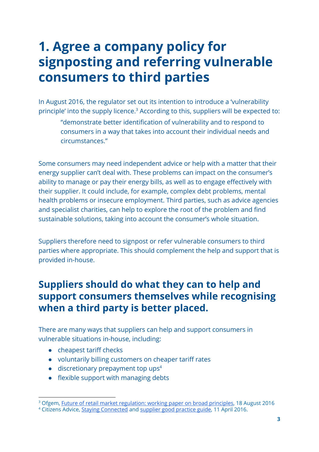## <span id="page-3-0"></span>1. Agree a company policy for signposting and referring vulnerable consumers to third parties

In August 2016, the regulator set out its intention to introduce a 'vulnerability principle' into the supply licence.<sup>3</sup> According to this, suppliers will be expected to:

"demonstrate better identification of vulnerability and to respond to consumers in a way that takes into account their individual needs and circumstances."

Some consumers may need independent advice or help with a matter that their energy supplier can't deal with. These problems can impact on the consumer's ability to manage or pay their energy bills, as well as to engage effectively with their supplier. It could include, for example, complex debt problems, mental health problems or insecure employment. Third parties, such as advice agencies and specialist charities, can help to explore the root of the problem and find sustainable solutions, taking into account the consumer's whole situation.

Suppliers therefore need to signpost or refer vulnerable consumers to third parties where appropriate. This should complement the help and support that is provided in-house.

#### Suppliers should do what they can to help and support consumers themselves while recognising when a third party is better placed.

There are many ways that suppliers can help and support consumers in vulnerable situations in-house, including:

- cheapest tariff checks
- voluntarily billing customers on cheaper tariff rates
- discretionary prepayment top ups<sup>4</sup>
- flexible support with managing debts

<sup>&</sup>lt;sup>3</sup> Ofgem, Future of retail market [regulation:](https://www.ofgem.gov.uk/system/files/docs/2016/08/frr_working_paper_on_broad_principles_-_final.pdf) working paper on broad principles, 18 August 2016 <sup>4</sup> Citizens Advice, Staying [Connected](https://www.citizensadvice.org.uk/Global/CitizensAdvice/Energy/Energy%20Consultation%20responses/Staying%20Connected.pdf) and [supplier](https://www.citizensadvice.org.uk/Global/CitizensAdvice/Energy/Energy%20Consultation%20responses/Self-disconnection%20supplier%20good%20practice%20April%202016.pdf) good practice guide, 11 April 2016.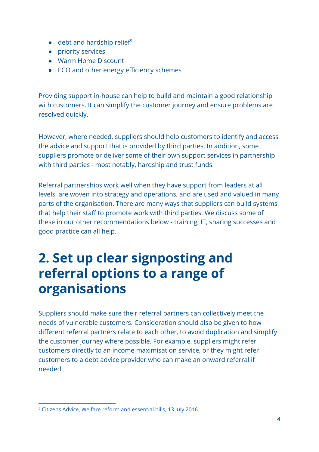- debt and hardship relief<sup>5</sup>
- priority services
- Warm Home Discount
- ECO and other energy efficiency schemes

Providing support in-house can help to build and maintain a good relationship with customers. It can simplify the customer journey and ensure problems are resolved quickly.

However, where needed, suppliers should help customers to identify and access the advice and support that is provided by third parties. In addition, some suppliers promote or deliver some of their own support services in partnership with third parties - most notably, hardship and trust funds.

Referral partnerships work well when they have support from leaders at all levels, are woven into strategy and operations, and are used and valued in many parts of the organisation. There are many ways that suppliers can build systems that help their staff to promote work with third parties. We discuss some of these in our other recommendations below - training, IT, sharing successes and good practice can all help.

## <span id="page-4-0"></span>2. Set up clear signposting and referral options to a range of organisations

Suppliers should make sure their referral partners can collectively meet the needs of vulnerable customers. Consideration should also be given to how different referral partners relate to each other, to avoid duplication and simplify the customer journey where possible. For example, suppliers might refer customers directly to an income maximisation service, or they might refer customers to a debt advice provider who can make an onward referral if needed.

<sup>5</sup> Citizens Advice, Welfare reform and [essential](https://www.citizensadvice.org.uk/Global/CitizensAdvice/welfare%20publications/Welfare%20Reform%20and%20Essential%20Bills%20final%20report.pdf) bills, 13 July 2016.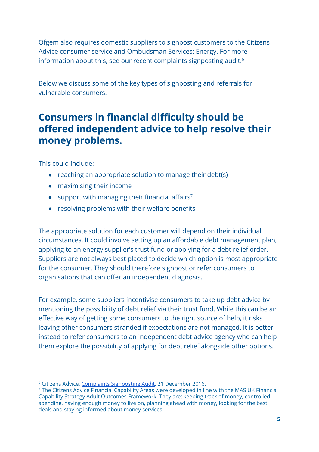Ofgem also requires domestic suppliers to signpost customers to the Citizens Advice consumer service and Ombudsman Services: Energy. For more information about this, see our recent complaints signposting audit. 6

Below we discuss some of the key types of signposting and referrals for vulnerable consumers.

#### Consumers in financial difficulty should be offered independent advice to help resolve their money problems.

This could include:

- reaching an appropriate solution to manage their debt(s)
- maximising their income
- $\bullet$  support with managing their financial affairs<sup>7</sup>
- resolving problems with their welfare benefits

The appropriate solution for each customer will depend on their individual circumstances. It could involve setting up an affordable debt management plan, applying to an energy supplier's trust fund or applying for a debt relief order. Suppliers are not always best placed to decide which option is most appropriate for the consumer. They should therefore signpost or refer consumers to organisations that can offer an independent diagnosis.

For example, some suppliers incentivise consumers to take up debt advice by mentioning the possibility of debt relief via their trust fund. While this can be an effective way of getting some consumers to the right source of help, it risks leaving other consumers stranded if expectations are not managed. It is better instead to refer consumers to an independent debt advice agency who can help them explore the possibility of applying for debt relief alongside other options.

<sup>6</sup> Citizens Advice, Complaints [Signposting](https://www.citizensadvice.org.uk/Global/CitizensAdvice/Energy/Energy%20Consultation%20responses/ComplaintsSignpostingAuditreport%20(2).pdf) Audit, 21 December 2016.

<sup>7</sup> The Citizens Advice Financial Capability Areas were developed in line with the MAS UK Financial Capability Strategy Adult Outcomes Framework. They are: keeping track of money, controlled spending, having enough money to live on, planning ahead with money, looking for the best deals and staying informed about money services.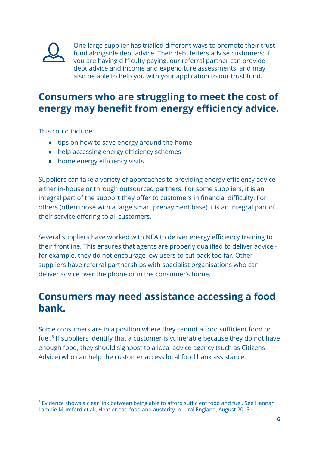

One large supplier has trialled different ways to promote their trust fund alongside debt advice. Their debt letters advise customers: if you are having difficulty paying, our referral partner can provide debt advice and income and expenditure assessments, and may also be able to help you with your application to our trust fund.

#### Consumers who are struggling to meet the cost of energy may benefit from energy efficiency advice.

This could include:

- tips on how to save energy around the home
- help accessing energy efficiency schemes
- home energy efficiency visits

Suppliers can take a variety of approaches to providing energy efficiency advice either in-house or through outsourced partners. For some suppliers, it is an integral part of the support they offer to customers in financial difficulty. For others (often those with a large smart prepayment base) it is an integral part of their service offering to all customers.

Several suppliers have worked with NEA to deliver energy efficiency training to their frontline. This ensures that agents are properly qualified to deliver advice for example, they do not encourage low users to cut back too far. Other suppliers have referral partnerships with specialist organisations who can deliver advice over the phone or in the consumer's home.

#### Consumers may need assistance accessing a food bank.

Some consumers are in a position where they cannot afford sufficient food or fuel.<sup>8</sup> If suppliers identify that a customer is vulnerable because they do not have enough food, they should signpost to a local advice agency (such as Citizens Advice) who can help the customer access local food bank assistance.

<sup>8</sup> Evidence shows a clear link between being able to afford sufficient food and fuel. See Hannah Lambie-Mumford et al., Heat or eat: food and [austerity](http://2plqyp1e0nbi44cllfr7pbor.wpengine.netdna-cdn.com/files/2013/01/Heat-or-Eat-with-Annexes.pdf) in rural England, August 2015.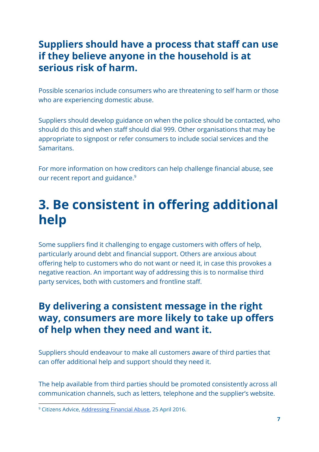#### Suppliers should have a process that staff can use if they believe anyone in the household is at serious risk of harm.

Possible scenarios include consumers who are threatening to self harm or those who are experiencing domestic abuse.

Suppliers should develop guidance on when the police should be contacted, who should do this and when staff should dial 999. Other organisations that may be appropriate to signpost or refer consumers to include social services and the Samaritans.

For more information on how creditors can help challenge financial abuse, see our recent report and guidance. 9

## <span id="page-7-0"></span>3. Be consistent in offering additional help

Some suppliers find it challenging to engage customers with offers of help, particularly around debt and financial support. Others are anxious about offering help to customers who do not want or need it, in case this provokes a negative reaction. An important way of addressing this is to normalise third party services, both with customers and frontline staff.

#### By delivering a consistent message in the right way, consumers are more likely to take up offers of help when they need and want it.

Suppliers should endeavour to make all customers aware of third parties that can offer additional help and support should they need it.

The help available from third parties should be promoted consistently across all communication channels, such as letters, telephone and the supplier's website.

<sup>9</sup> Citizens Advice, [Addressing](https://www.citizensadvice.org.uk/Global/CitizensAdvice/Debt%20and%20Money%20Publications/Addressing%20Financial%20Abuse%20-%20AFD%20report.pdf) Financial Abuse, 25 April 2016.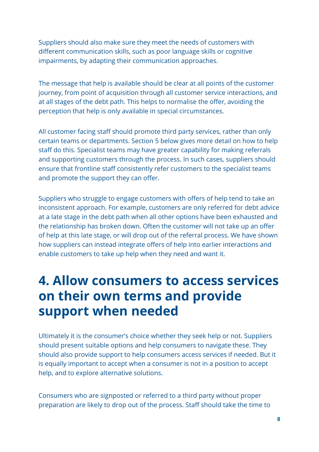Suppliers should also make sure they meet the needs of customers with different communication skills, such as poor language skills or cognitive impairments, by adapting their communication approaches.

The message that help is available should be clear at all points of the customer journey, from point of acquisition through all customer service interactions, and at all stages of the debt path. This helps to normalise the offer, avoiding the perception that help is only available in special circumstances.

All customer facing staff should promote third party services, rather than only certain teams or departments. Section 5 below gives more detail on how to help staff do this. Specialist teams may have greater capability for making referrals and supporting customers through the process. In such cases, suppliers should ensure that frontline staff consistently refer customers to the specialist teams and promote the support they can offer.

Suppliers who struggle to engage customers with offers of help tend to take an inconsistent approach. For example, customers are only referred for debt advice at a late stage in the debt path when all other options have been exhausted and the relationship has broken down. Often the customer will not take up an offer of help at this late stage, or will drop out of the referral process. We have shown how suppliers can instead integrate offers of help into earlier interactions and enable customers to take up help when they need and want it.

## <span id="page-8-0"></span>4. Allow consumers to access services on their own terms and provide support when needed

Ultimately it is the consumer's choice whether they seek help or not. Suppliers should present suitable options and help consumers to navigate these. They should also provide support to help consumers access services if needed. But it is equally important to accept when a consumer is not in a position to accept help, and to explore alternative solutions.

Consumers who are signposted or referred to a third party without proper preparation are likely to drop out of the process. Staff should take the time to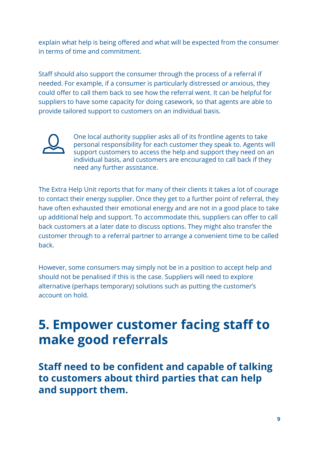explain what help is being offered and what will be expected from the consumer in terms of time and commitment.

Staff should also support the consumer through the process of a referral if needed. For example, if a consumer is particularly distressed or anxious, they could offer to call them back to see how the referral went. It can be helpful for suppliers to have some capacity for doing casework, so that agents are able to provide tailored support to customers on an individual basis.



One local authority supplier asks all of its frontline agents to take personal responsibility for each customer they speak to. Agents will support customers to access the help and support they need on an individual basis, and customers are encouraged to call back if they need any further assistance.

The Extra Help Unit reports that for many of their clients it takes a lot of courage to contact their energy supplier. Once they get to a further point of referral, they have often exhausted their emotional energy and are not in a good place to take up additional help and support. To accommodate this, suppliers can offer to call back customers at a later date to discuss options. They might also transfer the customer through to a referral partner to arrange a convenient time to be called back.

However, some consumers may simply not be in a position to accept help and should not be penalised if this is the case. Suppliers will need to explore alternative (perhaps temporary) solutions such as putting the customer's account on hold.

## <span id="page-9-0"></span>**5. Empower customer facing staff to** make good referrals

Staff need to be confident and capable of talking to customers about third parties that can help and support them.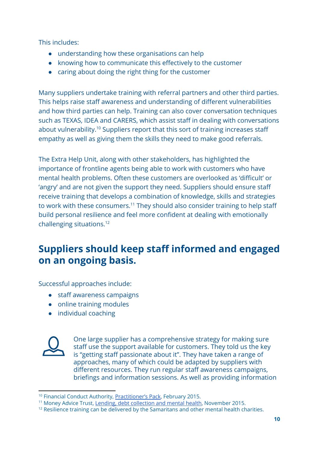This includes:

- understanding how these organisations can help
- knowing how to communicate this effectively to the customer
- caring about doing the right thing for the customer

Many suppliers undertake training with referral partners and other third parties. This helps raise staff awareness and understanding of different vulnerabilities and how third parties can help. Training can also cover conversation techniques such as TEXAS, IDEA and CARERS, which assist staff in dealing with conversations about vulnerability.<sup>10</sup> Suppliers report that this sort of training increases staff empathy as well as giving them the skills they need to make good referrals.

The Extra Help Unit, along with other stakeholders, has highlighted the importance of frontline agents being able to work with customers who have mental health problems. Often these customers are overlooked as 'difficult' or 'angry' and are not given the support they need. Suppliers should ensure staff receive training that develops a combination of knowledge, skills and strategies to work with these consumers.<sup>11</sup> They should also consider training to help staff build personal resilience and feel more confident at dealing with emotionally challenging situations. 12

### Suppliers should keep staff informed and engaged on an ongoing basis.

Successful approaches include:

- staff awareness campaigns
- online training modules
- individual coaching



One large supplier has a comprehensive strategy for making sure staff use the support available for customers. They told us the key is "getting staff passionate about it". They have taken a range of approaches, many of which could be adapted by suppliers with different resources. They run regular staff awareness campaigns, briefings and information sessions. As well as providing information

<sup>10</sup> Financial Conduct Authority, [Practitioner's](https://www.fca.org.uk/publication/occasional-papers/occasional-paper-8-practitioners-pack.pdf) Pack, February 2015.

<sup>&</sup>lt;sup>11</sup> Money Advice Trust, Lending, debt [collection](http://www.moneyadvicetrust.org/SiteCollectionDocuments/Research%20and%20reports/12%20steps%20(Nov%202015).pdf) and mental health, November 2015.

 $12$  Resilience training can be delivered by the Samaritans and other mental health charities.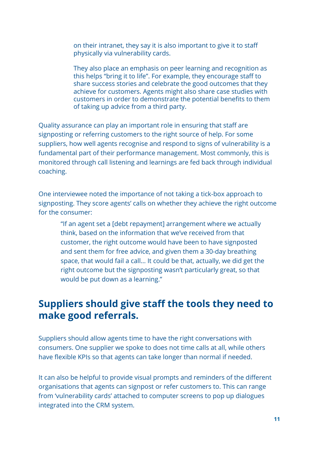on their intranet, they say it is also important to give it to staff physically via vulnerability cards.

They also place an emphasis on peer learning and recognition as this helps "bring it to life". For example, they encourage staff to share success stories and celebrate the good outcomes that they achieve for customers. Agents might also share case studies with customers in order to demonstrate the potential benefits to them of taking up advice from a third party.

Quality assurance can play an important role in ensuring that staff are signposting or referring customers to the right source of help. For some suppliers, how well agents recognise and respond to signs of vulnerability is a fundamental part of their performance management. Most commonly, this is monitored through call listening and learnings are fed back through individual coaching.

One interviewee noted the importance of not taking a tick-box approach to signposting. They score agents' calls on whether they achieve the right outcome for the consumer:

"If an agent set a [debt repayment] arrangement where we actually think, based on the information that we've received from that customer, the right outcome would have been to have signposted and sent them for free advice, and given them a 30-day breathing space, that would fail a call… It could be that, actually, we did get the right outcome but the signposting wasn't particularly great, so that would be put down as a learning."

#### Suppliers should give staff the tools they need to make good referrals.

Suppliers should allow agents time to have the right conversations with consumers. One supplier we spoke to does not time calls at all, while others have flexible KPIs so that agents can take longer than normal if needed.

It can also be helpful to provide visual prompts and reminders of the different organisations that agents can signpost or refer customers to. This can range from 'vulnerability cards' attached to computer screens to pop up dialogues integrated into the CRM system.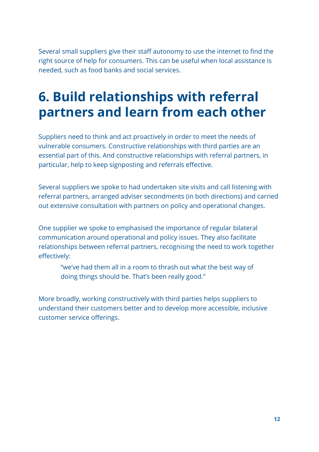Several small suppliers give their staff autonomy to use the internet to find the right source of help for consumers. This can be useful when local assistance is needed, such as food banks and social services.

## <span id="page-12-0"></span>6. Build relationships with referral partners and learn from each other

Suppliers need to think and act proactively in order to meet the needs of vulnerable consumers. Constructive relationships with third parties are an essential part of this. And constructive relationships with referral partners, in particular, help to keep signposting and referrals effective.

Several suppliers we spoke to had undertaken site visits and call listening with referral partners, arranged adviser secondments (in both directions) and carried out extensive consultation with partners on policy and operational changes.

One supplier we spoke to emphasised the importance of regular bilateral communication around operational and policy issues. They also facilitate relationships between referral partners, recognising the need to work together effectively:

"we've had them all in a room to thrash out what the best way of doing things should be. That's been really good."

More broadly, working constructively with third parties helps suppliers to understand their customers better and to develop more accessible, inclusive customer service offerings.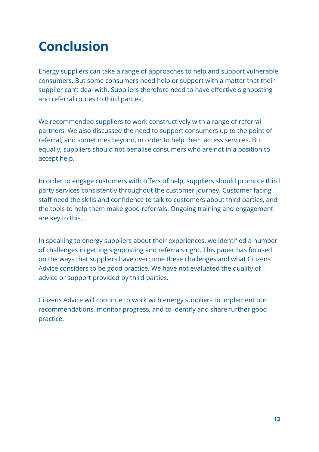## <span id="page-13-0"></span>Conclusion

Energy suppliers can take a range of approaches to help and support vulnerable consumers. But some consumers need help or support with a matter that their supplier can't deal with. Suppliers therefore need to have effective signposting and referral routes to third parties.

We recommended suppliers to work constructively with a range of referral partners. We also discussed the need to support consumers up to the point of referral, and sometimes beyond, in order to help them access services. But equally, suppliers should not penalise consumers who are not in a position to accept help.

In order to engage customers with offers of help, suppliers should promote third party services consistently throughout the customer journey. Customer facing staff need the skills and confidence to talk to customers about third parties, and the tools to help them make good referrals. Ongoing training and engagement are key to this.

In speaking to energy suppliers about their experiences, we identified a number of challenges in getting signposting and referrals right. This paper has focused on the ways that suppliers have overcome these challenges and what Citizens Advice considers to be good practice. We have not evaluated the quality of advice or support provided by third parties.

Citizens Advice will continue to work with energy suppliers to implement our recommendations, monitor progress, and to identify and share further good practice.